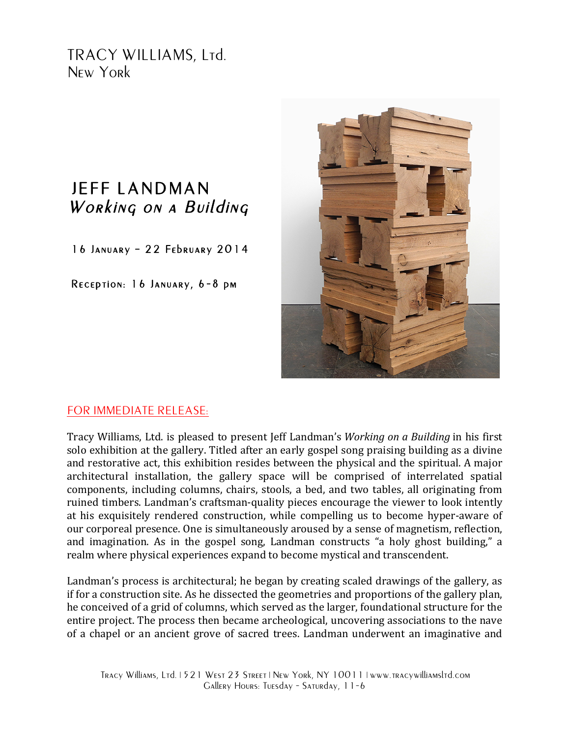TRACY WILLIAMS, Ltd. New York

## JEFF LANDMAN Working on a Building

16 January – 22 February 2014

Reception: 16 January, 6-8 pm



## FOR IMMEDIATE RELEASE:

Tracy Williams, Ltd. is pleased to present Jeff Landman's *Working on a Building* in his first solo exhibition at the gallery. Titled after an early gospel song praising building as a divine and restorative act, this exhibition resides between the physical and the spiritual. A major architectural installation, the gallery space will be comprised of interrelated spatial components, including columns, chairs, stools, a bed, and two tables, all originating from ruined timbers. Landman's craftsman-quality pieces encourage the viewer to look intently at his exquisitely rendered construction, while compelling us to become hyper-aware of our corporeal presence. One is simultaneously aroused by a sense of magnetism, reflection, and imagination. As in the gospel song, Landman constructs "a holy ghost building," a realm where physical experiences expand to become mystical and transcendent.

Landman's process is architectural; he began by creating scaled drawings of the gallery, as if for a construction site. As he dissected the geometries and proportions of the gallery plan, he conceived of a grid of columns, which served as the larger, foundational structure for the entire project. The process then became archeological, uncovering associations to the nave of a chapel or an ancient grove of sacred trees. Landman underwent an imaginative and